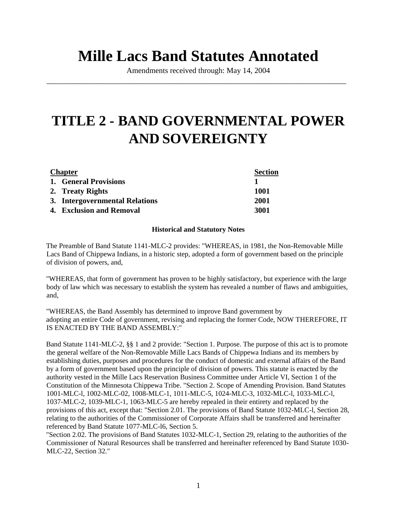# **Mille Lacs Band Statutes Annotated**

Amendments received through: May 14, 2004 \_\_\_\_\_\_\_\_\_\_\_\_\_\_\_\_\_\_\_\_\_\_\_\_\_\_\_\_\_\_\_\_\_\_\_\_\_\_\_\_\_\_\_\_\_\_\_\_\_\_\_\_\_\_\_\_\_\_\_\_\_\_\_\_\_\_\_\_\_\_\_\_\_\_\_\_\_

# **TITLE 2 - BAND GOVERNMENTAL POWER AND SOVEREIGNTY**

| <b>Chapter</b> |                                | <b>Section</b> |
|----------------|--------------------------------|----------------|
|                | 1. General Provisions          |                |
|                | 2. Treaty Rights               | 1001           |
|                | 3. Intergovernmental Relations | 2001           |
|                | 4. Exclusion and Removal       | 3001           |

### **Historical and Statutory Notes**

The Preamble of Band Statute 1141-MLC-2 provides: "WHEREAS, in 1981, the Non-Removable Mille Lacs Band of Chippewa Indians, in a historic step, adopted a form of government based on the principle of division of powers, and,

"WHEREAS, that form of government has proven to be highly satisfactory, but experience with the large body of law which was necessary to establish the system has revealed a number of flaws and ambiguities, and,

"WHEREAS, the Band Assembly has determined to improve Band government by adopting an entire Code of government, revising and replacing the former Code, NOW THEREFORE, IT IS ENACTED BY THE BAND ASSEMBLY:"

Band Statute 1141-MLC-2, §§ 1 and 2 provide: "Section 1. Purpose. The purpose of this act is to promote the general welfare of the Non-Removable Mille Lacs Bands of Chippewa Indians and its members by establishing duties, purposes and procedures for the conduct of domestic and external affairs of the Band by a form of government based upon the principle of division of powers. This statute is enacted by the authority vested in the Mille Lacs Reservation Business Committee under Article VI, Section 1 of the Constitution of the Minnesota Chippewa Tribe. "Section 2. Scope of Amending Provision. Band Statutes 1001-MLC-l, 1002-MLC-02, 1008-MLC-1, 1011-MLC-5, 1024-MLC-3, 1032-MLC-l, 1033-MLC-l, 1037-MLC-2, 1039-MLC-1, 1063-MLC-5 are hereby repealed in their entirety and replaced by the provisions of this act, except that: "Section 2.01. The provisions of Band Statute 1032-MLC-l, Section 28, relating to the authorities of the Commissioner of Corporate Affairs shall be transferred and hereinafter referenced by Band Statute 1077-MLC-l6, Section 5.

"Section 2.02. The provisions of Band Statutes 1032-MLC-1, Section 29, relating to the authorities of the Commissioner of Natural Resources shall be transferred and hereinafter referenced by Band Statute 1030- MLC-22, Section 32."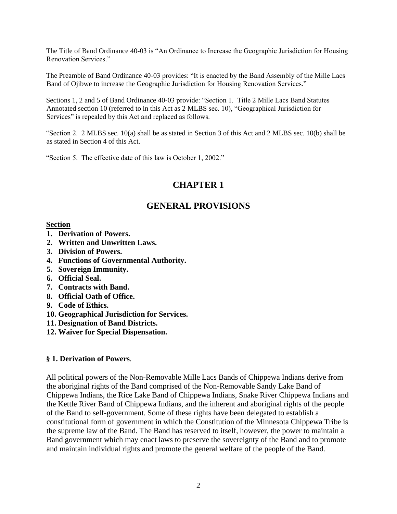The Title of Band Ordinance 40-03 is "An Ordinance to Increase the Geographic Jurisdiction for Housing Renovation Services."

The Preamble of Band Ordinance 40-03 provides: "It is enacted by the Band Assembly of the Mille Lacs Band of Ojibwe to increase the Geographic Jurisdiction for Housing Renovation Services."

Sections 1, 2 and 5 of Band Ordinance 40-03 provide: "Section 1. Title 2 Mille Lacs Band Statutes Annotated section 10 (referred to in this Act as 2 MLBS sec. 10), "Geographical Jurisdiction for Services" is repealed by this Act and replaced as follows.

"Section 2. 2 MLBS sec. 10(a) shall be as stated in Section 3 of this Act and 2 MLBS sec. 10(b) shall be as stated in Section 4 of this Act.

"Section 5. The effective date of this law is October 1, 2002."

# **CHAPTER 1**

# **GENERAL PROVISIONS**

### **Section**

- **1. Derivation of Powers.**
- **2. Written and Unwritten Laws.**
- **3. Division of Powers.**
- **4. Functions of Governmental Authority.**
- **5. Sovereign Immunity.**
- **6. Official Seal.**
- **7. Contracts with Band.**
- **8. Official Oath of Office.**
- **9. Code of Ethics.**
- **10. Geographical Jurisdiction for Services.**
- **11. Designation of Band Districts.**
- **12. Waiver for Special Dispensation.**

# **§ 1. Derivation of Powers**.

All political powers of the Non-Removable Mille Lacs Bands of Chippewa Indians derive from the aboriginal rights of the Band comprised of the Non-Removable Sandy Lake Band of Chippewa Indians, the Rice Lake Band of Chippewa Indians, Snake River Chippewa Indians and the Kettle River Band of Chippewa Indians, and the inherent and aboriginal rights of the people of the Band to self-government. Some of these rights have been delegated to establish a constitutional form of government in which the Constitution of the Minnesota Chippewa Tribe is the supreme law of the Band. The Band has reserved to itself, however, the power to maintain a Band government which may enact laws to preserve the sovereignty of the Band and to promote and maintain individual rights and promote the general welfare of the people of the Band.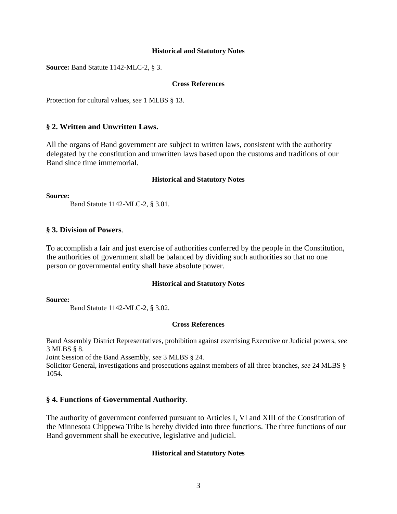#### **Historical and Statutory Notes**

**Source:** Band Statute 1142-MLC-2, § 3.

#### **Cross References**

Protection for cultural values, *see* 1 MLBS § 13.

### **§ 2. Written and Unwritten Laws.**

All the organs of Band government are subject to written laws, consistent with the authority delegated by the constitution and unwritten laws based upon the customs and traditions of our Band since time immemorial.

#### **Historical and Statutory Notes**

**Source:**

Band Statute 1142-MLC-2, § 3.01.

### **§ 3. Division of Powers**.

To accomplish a fair and just exercise of authorities conferred by the people in the Constitution, the authorities of government shall be balanced by dividing such authorities so that no one person or governmental entity shall have absolute power.

#### **Historical and Statutory Notes**

**Source:**

Band Statute 1142-MLC-2, § 3.02.

#### **Cross References**

Band Assembly District Representatives, prohibition against exercising Executive or Judicial powers, *see* 3 MLBS § 8.

Joint Session of the Band Assembly, *see* 3 MLBS § 24.

Solicitor General, investigations and prosecutions against members of all three branches, *see* 24 MLBS § 1054.

### **§ 4. Functions of Governmental Authority**.

The authority of government conferred pursuant to Articles I, VI and XIII of the Constitution of the Minnesota Chippewa Tribe is hereby divided into three functions. The three functions of our Band government shall be executive, legislative and judicial.

### **Historical and Statutory Notes**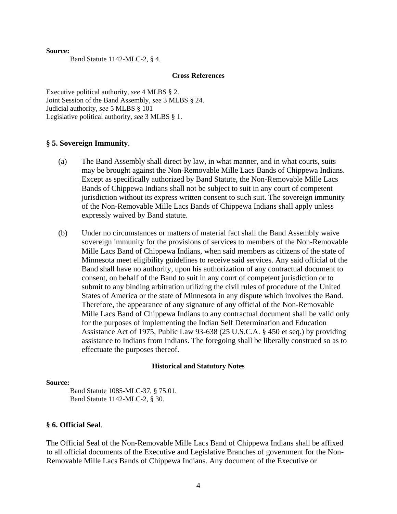#### **Source:**

Band Statute 1142-MLC-2, § 4.

### **Cross References**

Executive political authority, *see* 4 MLBS § 2. Joint Session of the Band Assembly, *see* 3 MLBS § 24. Judicial authority, *see* 5 MLBS § 101 Legislative political authority, *see* 3 MLBS § 1.

### **§ 5. Sovereign Immunity**.

- (a) The Band Assembly shall direct by law, in what manner, and in what courts, suits may be brought against the Non-Removable Mille Lacs Bands of Chippewa Indians. Except as specifically authorized by Band Statute, the Non-Removable Mille Lacs Bands of Chippewa Indians shall not be subject to suit in any court of competent jurisdiction without its express written consent to such suit. The sovereign immunity of the Non-Removable Mille Lacs Bands of Chippewa Indians shall apply unless expressly waived by Band statute.
- (b) Under no circumstances or matters of material fact shall the Band Assembly waive sovereign immunity for the provisions of services to members of the Non-Removable Mille Lacs Band of Chippewa Indians, when said members as citizens of the state of Minnesota meet eligibility guidelines to receive said services. Any said official of the Band shall have no authority, upon his authorization of any contractual document to consent, on behalf of the Band to suit in any court of competent jurisdiction or to submit to any binding arbitration utilizing the civil rules of procedure of the United States of America or the state of Minnesota in any dispute which involves the Band. Therefore, the appearance of any signature of any official of the Non-Removable Mille Lacs Band of Chippewa Indians to any contractual document shall be valid only for the purposes of implementing the Indian Self Determination and Education Assistance Act of 1975, Public Law 93-638 (25 U.S.C.A. § 450 et seq.) by providing assistance to Indians from Indians. The foregoing shall be liberally construed so as to effectuate the purposes thereof.

#### **Historical and Statutory Notes**

#### **Source:**

Band Statute 1085-MLC-37, § 75.01. Band Statute 1142-MLC-2, § 30.

### **§ 6. Official Seal**.

The Official Seal of the Non-Removable Mille Lacs Band of Chippewa Indians shall be affixed to all official documents of the Executive and Legislative Branches of government for the Non-Removable Mille Lacs Bands of Chippewa Indians. Any document of the Executive or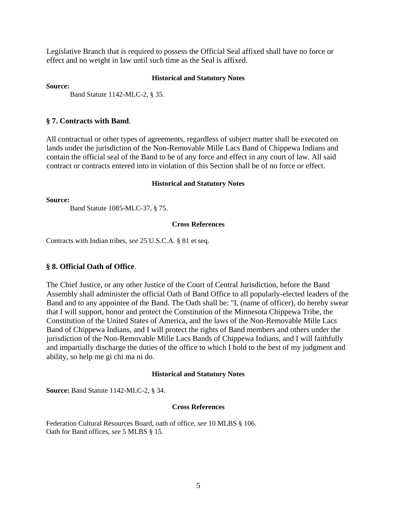Legislative Branch that is required to possess the Official Seal affixed shall have no force or effect and no weight in law until such time as the Seal is affixed.

**Source:**

### **Historical and Statutory Notes**

Band Statute 1142-MLC-2, § 35.

### **§ 7. Contracts with Band**.

All contractual or other types of agreements, regardless of subject matter shall be executed on lands under the jurisdiction of the Non-Removable Mille Lacs Band of Chippewa Indians and contain the official seal of the Band to be of any force and effect in any court of law. All said contract or contracts entered into in violation of this Section shall be of no force or effect.

### **Historical and Statutory Notes**

**Source:**

Band Statute 1085-MLC-37, § 75.

### **Cross References**

Contracts with Indian tribes, *see* 25 U.S.C.A. § 81 et seq.

### **§ 8. Official Oath of Office**.

The Chief Justice, or any other Justice of the Court of Central Jurisdiction, before the Band Assembly shall administer the official Oath of Band Office to all popularly-elected leaders of the Band and to any appointee of the Band. The Oath shall be: "I, (name of officer), do hereby swear that I will support, honor and protect the Constitution of the Minnesota Chippewa Tribe, the Constitution of the United States of America, and the laws of the Non-Removable Mille Lacs Band of Chippewa Indians, and I will protect the rights of Band members and others under the jurisdiction of the Non-Removable Mille Lacs Bands of Chippewa Indians, and I will faithfully and impartially discharge the duties of the office to which I hold to the best of my judgment and ability, so help me gi chi ma ni do.

#### **Historical and Statutory Notes**

**Source:** Band Statute 1142-MLC-2, § 34.

### **Cross References**

Federation Cultural Resources Board, oath of office, *see* 10 MLBS § 106. Oath for Band offices, *see* 5 MLBS § 15.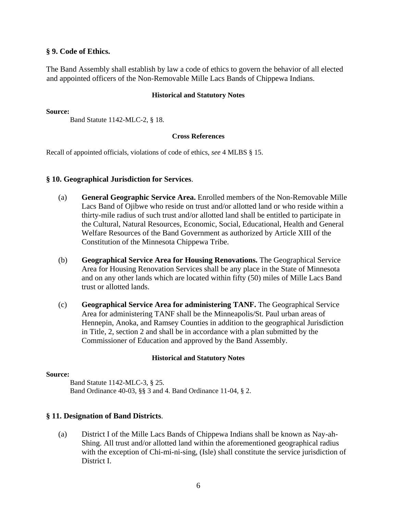# **§ 9. Code of Ethics.**

The Band Assembly shall establish by law a code of ethics to govern the behavior of all elected and appointed officers of the Non-Removable Mille Lacs Bands of Chippewa Indians.

### **Historical and Statutory Notes**

**Source:**

Band Statute 1142-MLC-2, § 18.

### **Cross References**

Recall of appointed officials, violations of code of ethics, *see* 4 MLBS § 15.

### **§ 10. Geographical Jurisdiction for Services**.

- (a) **General Geographic Service Area.** Enrolled members of the Non-Removable Mille Lacs Band of Ojibwe who reside on trust and/or allotted land or who reside within a thirty-mile radius of such trust and/or allotted land shall be entitled to participate in the Cultural, Natural Resources, Economic, Social, Educational, Health and General Welfare Resources of the Band Government as authorized by Article XIII of the Constitution of the Minnesota Chippewa Tribe.
- (b) **Geographical Service Area for Housing Renovations.** The Geographical Service Area for Housing Renovation Services shall be any place in the State of Minnesota and on any other lands which are located within fifty (50) miles of Mille Lacs Band trust or allotted lands.
- (c) **Geographical Service Area for administering TANF.** The Geographical Service Area for administering TANF shall be the Minneapolis/St. Paul urban areas of Hennepin, Anoka, and Ramsey Counties in addition to the geographical Jurisdiction in Title, 2, section 2 and shall be in accordance with a plan submitted by the Commissioner of Education and approved by the Band Assembly.

#### **Historical and Statutory Notes**

### **Source:**

Band Statute 1142-MLC-3, § 25. Band Ordinance 40-03, §§ 3 and 4. Band Ordinance 11-04, § 2.

# **§ 11. Designation of Band Districts**.

(a) District I of the Mille Lacs Bands of Chippewa Indians shall be known as Nay-ah-Shing. All trust and/or allotted land within the aforementioned geographical radius with the exception of Chi-mi-ni-sing, (Isle) shall constitute the service jurisdiction of District I.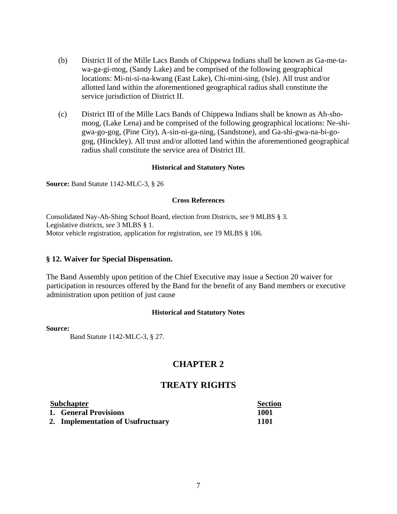- (b) District II of the Mille Lacs Bands of Chippewa Indians shall be known as Ga-me-tawa-ga-gi-mog, (Sandy Lake) and be comprised of the following geographical locations: Mi-ni-si-na-kwang (East Lake), Chi-mini-sing, (Isle). All trust and/or allotted land within the aforementioned geographical radius shall constitute the service jurisdiction of District II.
- (c) District III of the Mille Lacs Bands of Chippewa Indians shall be known as Ah-shomoog, (Lake Lena) and be comprised of the following geographical locations: Ne-shigwa-go-gog, (Pine City), A-sin-ni-ga-ning, (Sandstone), and Ga-shi-gwa-na-bi-gogog, (Hinckley). All trust and/or allotted land within the aforementioned geographical radius shall constitute the service area of District III.

### **Historical and Statutory Notes**

**Source:** Band Statute 1142-MLC-3, § 26

### **Cross References**

Consolidated Nay-Ah-Shing School Board, election from Districts, *see* 9 MLBS § 3. Legislative districts, *see* 3 MLBS § 1. Motor vehicle registration, application for registration, *see* 19 MLBS § 106.

# **§ 12. Waiver for Special Dispensation.**

The Band Assembly upon petition of the Chief Executive may issue a Section 20 waiver for participation in resources offered by the Band for the benefit of any Band members or executive administration upon petition of just cause

# **Historical and Statutory Notes**

### **Source:**

Band Statute 1142-MLC-3, § 27.

# **CHAPTER 2**

# **TREATY RIGHTS**

| <b>Subchapter</b> |                                   | <b>Section</b> |
|-------------------|-----------------------------------|----------------|
|                   | 1. General Provisions             | 1001           |
|                   | 2. Implementation of Usufructuary | 1101           |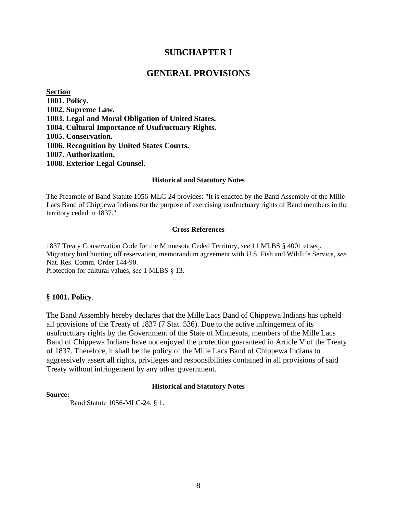# **SUBCHAPTER I**

# **GENERAL PROVISIONS**

**Section 1001. Policy. 1002. Supreme Law. 1003. Legal and Moral Obligation of United States. 1004. Cultural Importance of Usufructuary Rights. 1005. Conservation. 1006. Recognition by United States Courts. 1007. Authorization. 1008. Exterior Legal Counsel.** 

#### **Historical and Statutory Notes**

The Preamble of Band Statute 1056-MLC-24 provides: "It is enacted by the Band Assembly of the Mille Lacs Band of Chippewa Indians for the purpose of exercising usufructuary rights of Band members in the territory ceded in 1837."

### **Cross References**

1837 Treaty Conservation Code for the Minnesota Ceded Territory, *see* 11 MLBS § 4001 et seq. Migratory bird hunting off reservation, memorandum agreement with U.S. Fish and Wildlife Service, *see*  Nat. Res. Comm. Order 144-90.

Protection for cultural values, *see* 1 MLBS § 13.

### **§ 1001. Policy**.

The Band Assembly hereby declares that the Mille Lacs Band of Chippewa Indians has upheld all provisions of the Treaty of 1837 (7 Stat. 536). Due to the active infringement of its usufructuary rights by the Government of the State of Minnesota, members of the Mille Lacs Band of Chippewa Indians have not enjoyed the protection guaranteed in Article V of the Treaty of 1837. Therefore, it shall be the policy of the Mille Lacs Band of Chippewa Indians to aggressively assert all rights, privileges and responsibilities contained in all provisions of said Treaty without infringement by any other government.

#### **Historical and Statutory Notes**

#### **Source:**

Band Statute 1056-MLC-24, § 1.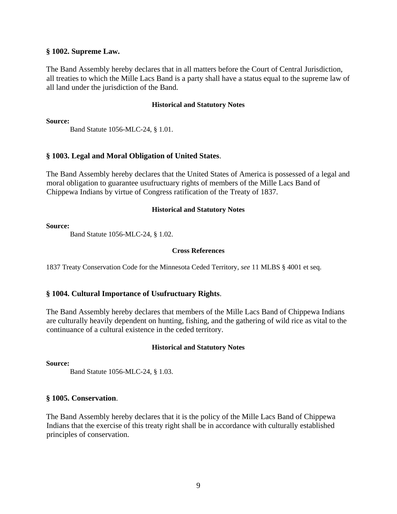### **§ 1002. Supreme Law.**

The Band Assembly hereby declares that in all matters before the Court of Central Jurisdiction, all treaties to which the Mille Lacs Band is a party shall have a status equal to the supreme law of all land under the jurisdiction of the Band.

### **Historical and Statutory Notes**

**Source:**

Band Statute 1056-MLC-24, § 1.01.

# **§ 1003. Legal and Moral Obligation of United States**.

The Band Assembly hereby declares that the United States of America is possessed of a legal and moral obligation to guarantee usufructuary rights of members of the Mille Lacs Band of Chippewa Indians by virtue of Congress ratification of the Treaty of 1837.

# **Historical and Statutory Notes**

**Source:**

Band Statute 1056-MLC-24, § 1.02.

### **Cross References**

1837 Treaty Conservation Code for the Minnesota Ceded Territory, *see* 11 MLBS § 4001 et seq.

# **§ 1004. Cultural Importance of Usufructuary Rights**.

The Band Assembly hereby declares that members of the Mille Lacs Band of Chippewa Indians are culturally heavily dependent on hunting, fishing, and the gathering of wild rice as vital to the continuance of a cultural existence in the ceded territory.

# **Historical and Statutory Notes**

**Source:**

Band Statute 1056-MLC-24, § 1.03.

# **§ 1005. Conservation**.

The Band Assembly hereby declares that it is the policy of the Mille Lacs Band of Chippewa Indians that the exercise of this treaty right shall be in accordance with culturally established principles of conservation.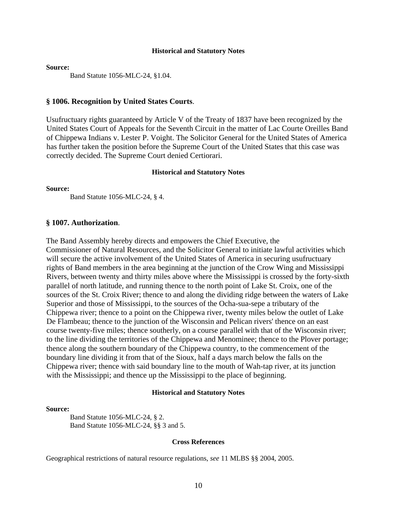#### **Historical and Statutory Notes**

#### **Source:**

Band Statute 1056-MLC-24, §1.04.

### **§ 1006. Recognition by United States Courts**.

Usufructuary rights guaranteed by Article V of the Treaty of 1837 have been recognized by the United States Court of Appeals for the Seventh Circuit in the matter of Lac Courte Oreilles Band of Chippewa Indians v. Lester P. Voight. The Solicitor General for the United States of America has further taken the position before the Supreme Court of the United States that this case was correctly decided. The Supreme Court denied Certiorari.

#### **Historical and Statutory Notes**

#### **Source:**

Band Statute 1056-MLC-24, § 4.

### **§ 1007. Authorization**.

The Band Assembly hereby directs and empowers the Chief Executive, the Commissioner of Natural Resources, and the Solicitor General to initiate lawful activities which will secure the active involvement of the United States of America in securing usufructuary rights of Band members in the area beginning at the junction of the Crow Wing and Mississippi Rivers, between twenty and thirty miles above where the Mississippi is crossed by the forty-sixth parallel of north latitude, and running thence to the north point of Lake St. Croix, one of the sources of the St. Croix River; thence to and along the dividing ridge between the waters of Lake Superior and those of Mississippi, to the sources of the Ocha-sua-sepe a tributary of the Chippewa river; thence to a point on the Chippewa river, twenty miles below the outlet of Lake De Flambeau; thence to the junction of the Wisconsin and Pelican rivers' thence on an east course twenty-five miles; thence southerly, on a course parallel with that of the Wisconsin river; to the line dividing the territories of the Chippewa and Menominee; thence to the Plover portage; thence along the southern boundary of the Chippewa country, to the commencement of the boundary line dividing it from that of the Sioux, half a days march below the falls on the Chippewa river; thence with said boundary line to the mouth of Wah-tap river, at its junction with the Mississippi; and thence up the Mississippi to the place of beginning.

#### **Historical and Statutory Notes**

#### **Source:**

Band Statute 1056-MLC-24, § 2. Band Statute 1056-MLC-24, §§ 3 and 5.

#### **Cross References**

Geographical restrictions of natural resource regulations, *see* 11 MLBS §§ 2004, 2005.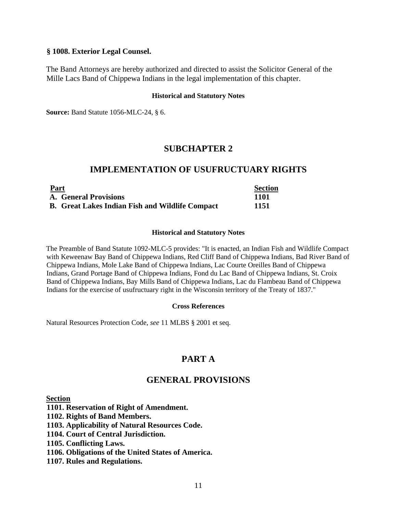### **§ 1008. Exterior Legal Counsel.**

The Band Attorneys are hereby authorized and directed to assist the Solicitor General of the Mille Lacs Band of Chippewa Indians in the legal implementation of this chapter.

### **Historical and Statutory Notes**

**Source:** Band Statute 1056-MLC-24, § 6.

# **SUBCHAPTER 2**

# **IMPLEMENTATION OF USUFRUCTUARY RIGHTS**

| Part                                                   | <b>Section</b> |  |
|--------------------------------------------------------|----------------|--|
| A. General Provisions                                  | 1101           |  |
| <b>B.</b> Great Lakes Indian Fish and Wildlife Compact | 1151           |  |

### **Historical and Statutory Notes**

The Preamble of Band Statute 1092-MLC-5 provides: "It is enacted, an Indian Fish and Wildlife Compact with Keweenaw Bay Band of Chippewa Indians, Red Cliff Band of Chippewa Indians, Bad River Band of Chippewa Indians, Mole Lake Band of Chippewa Indians, Lac Courte Oreilles Band of Chippewa Indians, Grand Portage Band of Chippewa Indians, Fond du Lac Band of Chippewa Indians, St. Croix Band of Chippewa Indians, Bay Mills Band of Chippewa Indians, Lac du Flambeau Band of Chippewa Indians for the exercise of usufructuary right in the Wisconsin territory of the Treaty of 1837."

### **Cross References**

Natural Resources Protection Code, *see* 11 MLBS § 2001 et seq.

# **PART A**

# **GENERAL PROVISIONS**

### **Section**

- **1101. Reservation of Right of Amendment.**
- **1102. Rights of Band Members.**
- **1103. Applicability of Natural Resources Code.**
- **1104. Court of Central Jurisdiction.**
- **1105. Conflicting Laws.**
- **1106. Obligations of the United States of America.**
- **1107. Rules and Regulations.**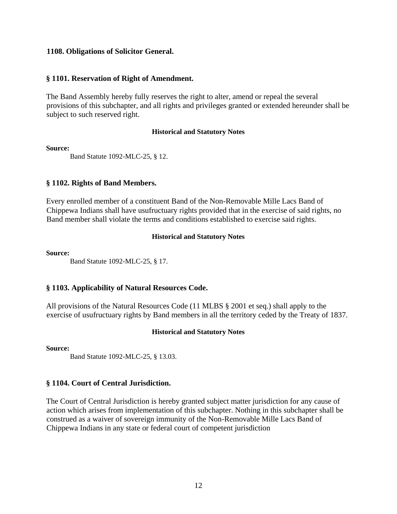### **1108. Obligations of Solicitor General.**

### **§ 1101. Reservation of Right of Amendment.**

The Band Assembly hereby fully reserves the right to alter, amend or repeal the several provisions of this subchapter, and all rights and privileges granted or extended hereunder shall be subject to such reserved right.

### **Historical and Statutory Notes**

### **Source:**

Band Statute 1092-MLC-25, § 12.

# **§ 1102. Rights of Band Members.**

Every enrolled member of a constituent Band of the Non-Removable Mille Lacs Band of Chippewa Indians shall have usufructuary rights provided that in the exercise of said rights, no Band member shall violate the terms and conditions established to exercise said rights.

### **Historical and Statutory Notes**

**Source:**

Band Statute 1092-MLC-25, § 17.

# **§ 1103. Applicability of Natural Resources Code.**

All provisions of the Natural Resources Code (11 MLBS § 2001 et seq.) shall apply to the exercise of usufructuary rights by Band members in all the territory ceded by the Treaty of 1837.

# **Historical and Statutory Notes**

**Source:**

Band Statute 1092-MLC-25, § 13.03.

# **§ 1104. Court of Central Jurisdiction.**

The Court of Central Jurisdiction is hereby granted subject matter jurisdiction for any cause of action which arises from implementation of this subchapter. Nothing in this subchapter shall be construed as a waiver of sovereign immunity of the Non-Removable Mille Lacs Band of Chippewa Indians in any state or federal court of competent jurisdiction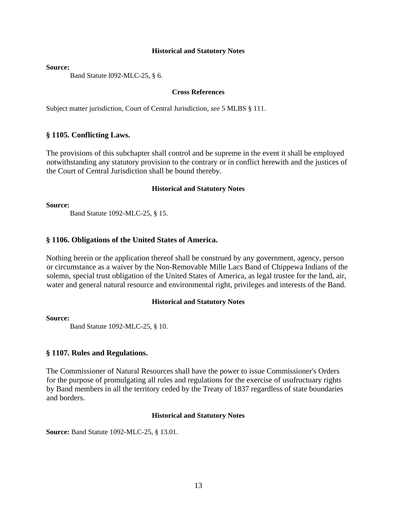### **Historical and Statutory Notes**

**Source:**

Band Statute l092-MLC-25, § 6.

### **Cross References**

Subject matter jurisdiction, Court of Central Jurisdiction, *see* 5 MLBS § 111.

### **§ 1105. Conflicting Laws.**

The provisions of this subchapter shall control and be supreme in the event it shall be employed notwithstanding any statutory provision to the contrary or in conflict herewith and the justices of the Court of Central Jurisdiction shall be bound thereby.

### **Historical and Statutory Notes**

**Source:**

Band Statute 1092-MLC-25, § 15.

### **§ 1106. Obligations of the United States of America.**

Nothing herein or the application thereof shall be construed by any government, agency, person or circumstance as a waiver by the Non-Removable Mille Lacs Band of Chippewa Indians of the solemn, special trust obligation of the United States of America, as legal trustee for the land, air, water and general natural resource and environmental right, privileges and interests of the Band.

### **Historical and Statutory Notes**

**Source:**

Band Statute 1092-MLC-25, § 10.

### **§ 1107. Rules and Regulations.**

The Commissioner of Natural Resources shall have the power to issue Commissioner's Orders for the purpose of promulgating all rules and regulations for the exercise of usufructuary rights by Band members in all the territory ceded by the Treaty of 1837 regardless of state boundaries and borders.

### **Historical and Statutory Notes**

**Source:** Band Statute 1092-MLC-25, § 13.01.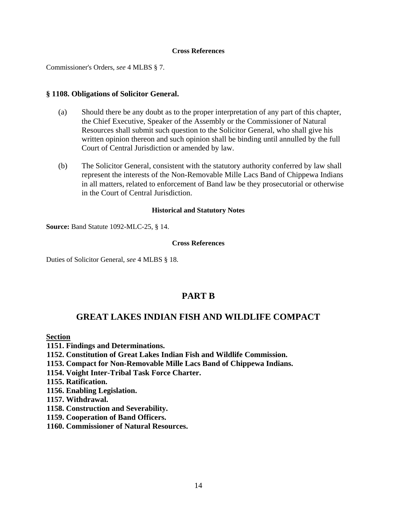### **Cross References**

Commissioner's Orders, *see* 4 MLBS § 7.

### **§ 1108. Obligations of Solicitor General.**

- (a) Should there be any doubt as to the proper interpretation of any part of this chapter, the Chief Executive, Speaker of the Assembly or the Commissioner of Natural Resources shall submit such question to the Solicitor General, who shall give his written opinion thereon and such opinion shall be binding until annulled by the full Court of Central Jurisdiction or amended by law.
- (b) The Solicitor General, consistent with the statutory authority conferred by law shall represent the interests of the Non-Removable Mille Lacs Band of Chippewa Indians in all matters, related to enforcement of Band law be they prosecutorial or otherwise in the Court of Central Jurisdiction.

### **Historical and Statutory Notes**

**Source:** Band Statute 1092-MLC-25, § 14.

### **Cross References**

Duties of Solicitor General, *see* 4 MLBS § 18.

# **PART B**

# **GREAT LAKES INDIAN FISH AND WILDLIFE COMPACT**

### **Section**

- **1151. Findings and Determinations.**
- **1152. Constitution of Great Lakes Indian Fish and Wildlife Commission.**
- **1153. Compact for Non-Removable Mille Lacs Band of Chippewa Indians.**
- **1154. Voight Inter-Tribal Task Force Charter.**
- **1155. Ratification.**
- **1156. Enabling Legislation.**
- **1157. Withdrawal.**
- **1158. Construction and Severability.**
- **1159. Cooperation of Band Officers.**
- **1160. Commissioner of Natural Resources.**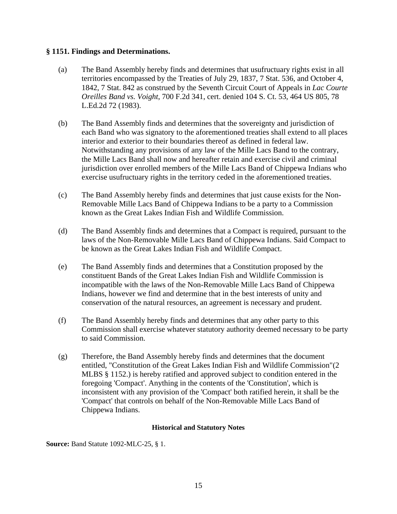# **§ 1151. Findings and Determinations.**

- (a) The Band Assembly hereby finds and determines that usufructuary rights exist in all territories encompassed by the Treaties of July 29, 1837, 7 Stat. 536, and October 4, 1842, 7 Stat. 842 as construed by the Seventh Circuit Court of Appeals in *Lac Courte Oreilles Band vs. Voight*, 700 F.2d 341, cert. denied 104 S. Ct. 53, 464 US 805, 78 L.Ed.2d 72 (1983).
- (b) The Band Assembly finds and determines that the sovereignty and jurisdiction of each Band who was signatory to the aforementioned treaties shall extend to all places interior and exterior to their boundaries thereof as defined in federal law. Notwithstanding any provisions of any law of the Mille Lacs Band to the contrary, the Mille Lacs Band shall now and hereafter retain and exercise civil and criminal jurisdiction over enrolled members of the Mille Lacs Band of Chippewa Indians who exercise usufructuary rights in the territory ceded in the aforementioned treaties.
- (c) The Band Assembly hereby finds and determines that just cause exists for the Non-Removable Mille Lacs Band of Chippewa Indians to be a party to a Commission known as the Great Lakes Indian Fish and Wildlife Commission.
- (d) The Band Assembly finds and determines that a Compact is required, pursuant to the laws of the Non-Removable Mille Lacs Band of Chippewa Indians. Said Compact to be known as the Great Lakes Indian Fish and Wildlife Compact.
- (e) The Band Assembly finds and determines that a Constitution proposed by the constituent Bands of the Great Lakes Indian Fish and Wildlife Commission is incompatible with the laws of the Non-Removable Mille Lacs Band of Chippewa Indians, however we find and determine that in the best interests of unity and conservation of the natural resources, an agreement is necessary and prudent.
- (f) The Band Assembly hereby finds and determines that any other party to this Commission shall exercise whatever statutory authority deemed necessary to be party to said Commission.
- (g) Therefore, the Band Assembly hereby finds and determines that the document entitled, "Constitution of the Great Lakes Indian Fish and Wildlife Commission"(2 MLBS § 1152.) is hereby ratified and approved subject to condition entered in the foregoing 'Compact'. Anything in the contents of the 'Constitution', which is inconsistent with any provision of the 'Compact' both ratified herein, it shall be the 'Compact' that controls on behalf of the Non-Removable Mille Lacs Band of Chippewa Indians.

# **Historical and Statutory Notes**

**Source:** Band Statute 1092-MLC-25, § 1.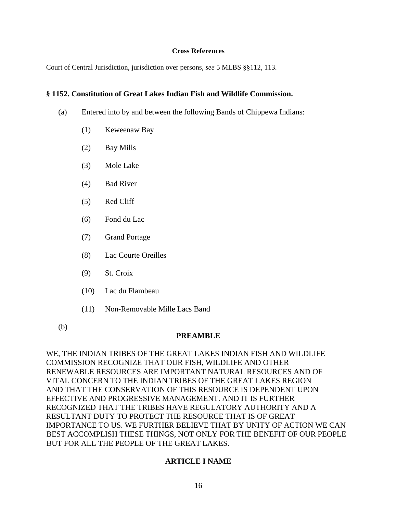### **Cross References**

Court of Central Jurisdiction, jurisdiction over persons, *see* 5 MLBS §§112, 113.

### **§ 1152. Constitution of Great Lakes Indian Fish and Wildlife Commission.**

- (a) Entered into by and between the following Bands of Chippewa Indians:
	- (1) Keweenaw Bay
	- (2) Bay Mills
	- (3) Mole Lake
	- (4) Bad River
	- (5) Red Cliff
	- (6) Fond du Lac
	- (7) Grand Portage
	- (8) Lac Courte Oreilles
	- (9) St. Croix
	- (10) Lac du Flambeau
	- (11) Non-Removable Mille Lacs Band
- (b)

### **PREAMBLE**

WE, THE INDIAN TRIBES OF THE GREAT LAKES INDIAN FISH AND WILDLIFE COMMISSION RECOGNIZE THAT OUR FISH, WILDLIFE AND OTHER RENEWABLE RESOURCES ARE IMPORTANT NATURAL RESOURCES AND OF VITAL CONCERN TO THE INDIAN TRIBES OF THE GREAT LAKES REGION AND THAT THE CONSERVATION OF THIS RESOURCE IS DEPENDENT UPON EFFECTIVE AND PROGRESSIVE MANAGEMENT. AND IT IS FURTHER RECOGNIZED THAT THE TRIBES HAVE REGULATORY AUTHORITY AND A RESULTANT DUTY TO PROTECT THE RESOURCE THAT IS OF GREAT IMPORTANCE TO US. WE FURTHER BELIEVE THAT BY UNITY OF ACTION WE CAN BEST ACCOMPLISH THESE THINGS, NOT ONLY FOR THE BENEFIT OF OUR PEOPLE BUT FOR ALL THE PEOPLE OF THE GREAT LAKES.

### **ARTICLE I NAME**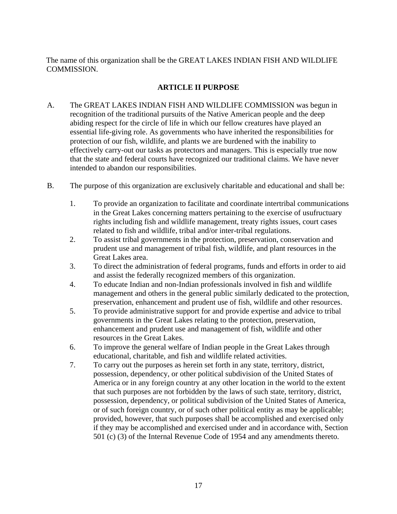The name of this organization shall be the GREAT LAKES INDIAN FISH AND WILDLIFE COMMISSION.

# **ARTICLE II PURPOSE**

- A. The GREAT LAKES INDIAN FISH AND WILDLIFE COMMISSION was begun in recognition of the traditional pursuits of the Native American people and the deep abiding respect for the circle of life in which our fellow creatures have played an essential life-giving role. As governments who have inherited the responsibilities for protection of our fish, wildlife, and plants we are burdened with the inability to effectively carry-out our tasks as protectors and managers. This is especially true now that the state and federal courts have recognized our traditional claims. We have never intended to abandon our responsibilities.
- B. The purpose of this organization are exclusively charitable and educational and shall be:
	- 1. To provide an organization to facilitate and coordinate intertribal communications in the Great Lakes concerning matters pertaining to the exercise of usufructuary rights including fish and wildlife management, treaty rights issues, court cases related to fish and wildlife, tribal and/or inter-tribal regulations.
	- 2. To assist tribal governments in the protection, preservation, conservation and prudent use and management of tribal fish, wildlife, and plant resources in the Great Lakes area.
	- 3. To direct the administration of federal programs, funds and efforts in order to aid and assist the federally recognized members of this organization.
	- 4. To educate Indian and non-Indian professionals involved in fish and wildlife management and others in the general public similarly dedicated to the protection, preservation, enhancement and prudent use of fish, wildlife and other resources.
	- 5. To provide administrative support for and provide expertise and advice to tribal governments in the Great Lakes relating to the protection, preservation, enhancement and prudent use and management of fish, wildlife and other resources in the Great Lakes.
	- 6. To improve the general welfare of Indian people in the Great Lakes through educational, charitable, and fish and wildlife related activities.
	- 7. To carry out the purposes as herein set forth in any state, territory, district, possession, dependency, or other political subdivision of the United States of America or in any foreign country at any other location in the world to the extent that such purposes are not forbidden by the laws of such state, territory, district, possession, dependency, or political subdivision of the United States of America, or of such foreign country, or of such other political entity as may be applicable; provided, however, that such purposes shall be accomplished and exercised only if they may be accomplished and exercised under and in accordance with, Section 501 (c) (3) of the Internal Revenue Code of 1954 and any amendments thereto.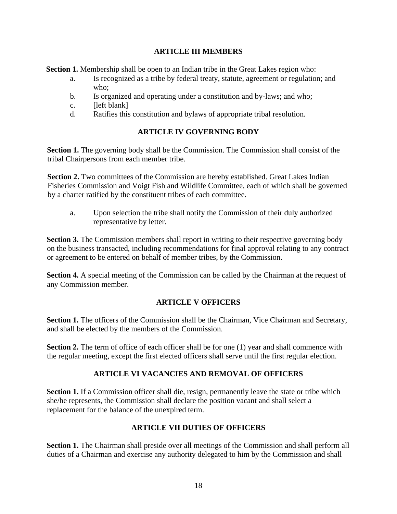# **ARTICLE III MEMBERS**

**Section 1.** Membership shall be open to an Indian tribe in the Great Lakes region who:

- a. Is recognized as a tribe by federal treaty, statute, agreement or regulation; and who;
- b. Is organized and operating under a constitution and by-laws; and who;
- c. [left blank]
- d. Ratifies this constitution and bylaws of appropriate tribal resolution.

# **ARTICLE IV GOVERNING BODY**

**Section 1.** The governing body shall be the Commission. The Commission shall consist of the tribal Chairpersons from each member tribe.

**Section 2.** Two committees of the Commission are hereby established. Great Lakes Indian Fisheries Commission and Voigt Fish and Wildlife Committee, each of which shall be governed by a charter ratified by the constituent tribes of each committee.

a. Upon selection the tribe shall notify the Commission of their duly authorized representative by letter.

**Section 3.** The Commission members shall report in writing to their respective governing body on the business transacted, including recommendations for final approval relating to any contract or agreement to be entered on behalf of member tribes, by the Commission.

**Section 4.** A special meeting of the Commission can be called by the Chairman at the request of any Commission member.

# **ARTICLE V OFFICERS**

Section 1. The officers of the Commission shall be the Chairman, Vice Chairman and Secretary, and shall be elected by the members of the Commission.

**Section 2.** The term of office of each officer shall be for one (1) year and shall commence with the regular meeting, except the first elected officers shall serve until the first regular election.

# **ARTICLE VI VACANCIES AND REMOVAL OF OFFICERS**

**Section 1.** If a Commission officer shall die, resign, permanently leave the state or tribe which she/he represents, the Commission shall declare the position vacant and shall select a replacement for the balance of the unexpired term.

# **ARTICLE VII DUTIES OF OFFICERS**

**Section 1.** The Chairman shall preside over all meetings of the Commission and shall perform all duties of a Chairman and exercise any authority delegated to him by the Commission and shall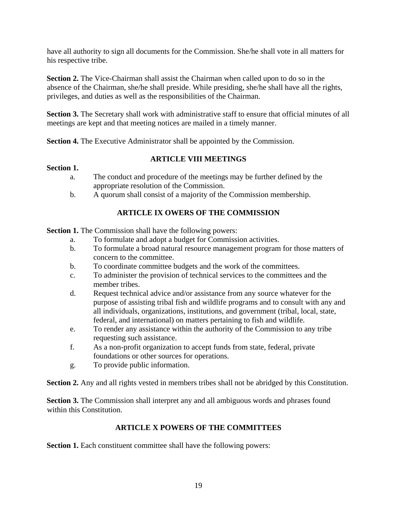have all authority to sign all documents for the Commission. She/he shall vote in all matters for his respective tribe.

**Section 2.** The Vice-Chairman shall assist the Chairman when called upon to do so in the absence of the Chairman, she/he shall preside. While presiding, she/he shall have all the rights, privileges, and duties as well as the responsibilities of the Chairman.

**Section 3.** The Secretary shall work with administrative staff to ensure that official minutes of all meetings are kept and that meeting notices are mailed in a timely manner.

**Section 4.** The Executive Administrator shall be appointed by the Commission.

# **ARTICLE VIII MEETINGS**

# **Section 1.**

- a. The conduct and procedure of the meetings may be further defined by the appropriate resolution of the Commission.
- b. A quorum shall consist of a majority of the Commission membership.

# **ARTICLE IX OWERS OF THE COMMISSION**

**Section 1.** The Commission shall have the following powers:

- a. To formulate and adopt a budget for Commission activities.
- b. To formulate a broad natural resource management program for those matters of concern to the committee.
- b. To coordinate committee budgets and the work of the committees.
- c. To administer the provision of technical services to the committees and the member tribes.
- d. Request technical advice and/or assistance from any source whatever for the purpose of assisting tribal fish and wildlife programs and to consult with any and all individuals, organizations, institutions, and government (tribal, local, state, federal, and international) on matters pertaining to fish and wildlife.
- e. To render any assistance within the authority of the Commission to any tribe requesting such assistance.
- f. As a non-profit organization to accept funds from state, federal, private foundations or other sources for operations.
- g. To provide public information.

**Section 2.** Any and all rights vested in members tribes shall not be abridged by this Constitution.

**Section 3.** The Commission shall interpret any and all ambiguous words and phrases found within this Constitution.

# **ARTICLE X POWERS OF THE COMMITTEES**

**Section 1.** Each constituent committee shall have the following powers: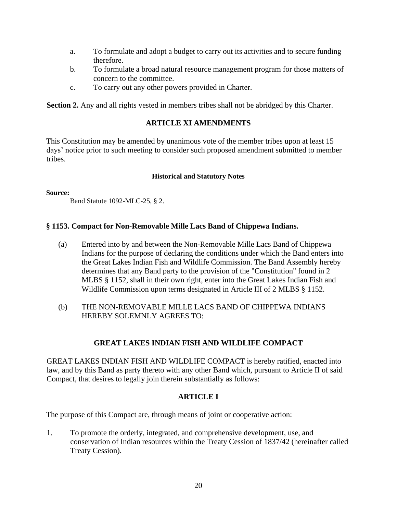- a. To formulate and adopt a budget to carry out its activities and to secure funding therefore.
- b. To formulate a broad natural resource management program for those matters of concern to the committee.
- c. To carry out any other powers provided in Charter.

**Section 2.** Any and all rights vested in members tribes shall not be abridged by this Charter.

# **ARTICLE XI AMENDMENTS**

This Constitution may be amended by unanimous vote of the member tribes upon at least 15 days' notice prior to such meeting to consider such proposed amendment submitted to member tribes.

# **Historical and Statutory Notes**

**Source:**

Band Statute 1092-MLC-25, § 2.

# **§ 1153. Compact for Non-Removable Mille Lacs Band of Chippewa Indians.**

- (a) Entered into by and between the Non-Removable Mille Lacs Band of Chippewa Indians for the purpose of declaring the conditions under which the Band enters into the Great Lakes Indian Fish and Wildlife Commission. The Band Assembly hereby determines that any Band party to the provision of the "Constitution" found in 2 MLBS § 1152, shall in their own right, enter into the Great Lakes Indian Fish and Wildlife Commission upon terms designated in Article III of 2 MLBS § 1152.
- (b) THE NON-REMOVABLE MILLE LACS BAND OF CHIPPEWA INDIANS HEREBY SOLEMNLY AGREES TO:

# **GREAT LAKES INDIAN FISH AND WILDLIFE COMPACT**

GREAT LAKES INDIAN FISH AND WILDLIFE COMPACT is hereby ratified, enacted into law, and by this Band as party thereto with any other Band which, pursuant to Article II of said Compact, that desires to legally join therein substantially as follows:

# **ARTICLE I**

The purpose of this Compact are, through means of joint or cooperative action:

1. To promote the orderly, integrated, and comprehensive development, use, and conservation of Indian resources within the Treaty Cession of 1837/42 (hereinafter called Treaty Cession).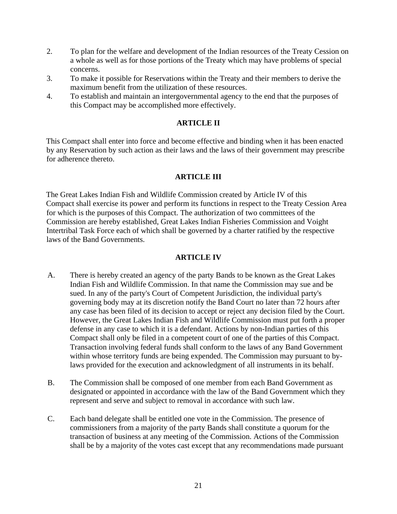- 2. To plan for the welfare and development of the Indian resources of the Treaty Cession on a whole as well as for those portions of the Treaty which may have problems of special concerns.
- 3. To make it possible for Reservations within the Treaty and their members to derive the maximum benefit from the utilization of these resources.
- 4. To establish and maintain an intergovernmental agency to the end that the purposes of this Compact may be accomplished more effectively.

# **ARTICLE II**

This Compact shall enter into force and become effective and binding when it has been enacted by any Reservation by such action as their laws and the laws of their government may prescribe for adherence thereto.

# **ARTICLE III**

The Great Lakes Indian Fish and Wildlife Commission created by Article IV of this Compact shall exercise its power and perform its functions in respect to the Treaty Cession Area for which is the purposes of this Compact. The authorization of two committees of the Commission are hereby established, Great Lakes Indian Fisheries Commission and Voight Intertribal Task Force each of which shall be governed by a charter ratified by the respective laws of the Band Governments.

# **ARTICLE IV**

- A. There is hereby created an agency of the party Bands to be known as the Great Lakes Indian Fish and Wildlife Commission. In that name the Commission may sue and be sued. In any of the party's Court of Competent Jurisdiction, the individual party's governing body may at its discretion notify the Band Court no later than 72 hours after any case has been filed of its decision to accept or reject any decision filed by the Court. However, the Great Lakes Indian Fish and Wildlife Commission must put forth a proper defense in any case to which it is a defendant. Actions by non-Indian parties of this Compact shall only be filed in a competent court of one of the parties of this Compact. Transaction involving federal funds shall conform to the laws of any Band Government within whose territory funds are being expended. The Commission may pursuant to bylaws provided for the execution and acknowledgment of all instruments in its behalf.
- B. The Commission shall be composed of one member from each Band Government as designated or appointed in accordance with the law of the Band Government which they represent and serve and subject to removal in accordance with such law.
- C. Each band delegate shall be entitled one vote in the Commission. The presence of commissioners from a majority of the party Bands shall constitute a quorum for the transaction of business at any meeting of the Commission. Actions of the Commission shall be by a majority of the votes cast except that any recommendations made pursuant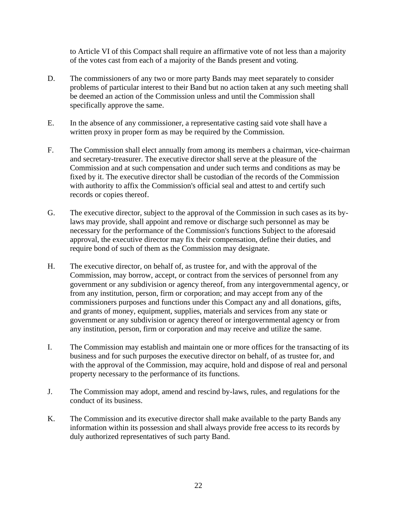to Article VI of this Compact shall require an affirmative vote of not less than a majority of the votes cast from each of a majority of the Bands present and voting.

- D. The commissioners of any two or more party Bands may meet separately to consider problems of particular interest to their Band but no action taken at any such meeting shall be deemed an action of the Commission unless and until the Commission shall specifically approve the same.
- E. In the absence of any commissioner, a representative casting said vote shall have a written proxy in proper form as may be required by the Commission.
- F. The Commission shall elect annually from among its members a chairman, vice-chairman and secretary-treasurer. The executive director shall serve at the pleasure of the Commission and at such compensation and under such terms and conditions as may be fixed by it. The executive director shall be custodian of the records of the Commission with authority to affix the Commission's official seal and attest to and certify such records or copies thereof.
- G. The executive director, subject to the approval of the Commission in such cases as its bylaws may provide, shall appoint and remove or discharge such personnel as may be necessary for the performance of the Commission's functions Subject to the aforesaid approval, the executive director may fix their compensation, define their duties, and require bond of such of them as the Commission may designate.
- H. The executive director, on behalf of, as trustee for, and with the approval of the Commission, may borrow, accept, or contract from the services of personnel from any government or any subdivision or agency thereof, from any intergovernmental agency, or from any institution, person, firm or corporation; and may accept from any of the commissioners purposes and functions under this Compact any and all donations, gifts, and grants of money, equipment, supplies, materials and services from any state or government or any subdivision or agency thereof or intergovernmental agency or from any institution, person, firm or corporation and may receive and utilize the same.
- I. The Commission may establish and maintain one or more offices for the transacting of its business and for such purposes the executive director on behalf, of as trustee for, and with the approval of the Commission, may acquire, hold and dispose of real and personal property necessary to the performance of its functions.
- J. The Commission may adopt, amend and rescind by-laws, rules, and regulations for the conduct of its business.
- K. The Commission and its executive director shall make available to the party Bands any information within its possession and shall always provide free access to its records by duly authorized representatives of such party Band.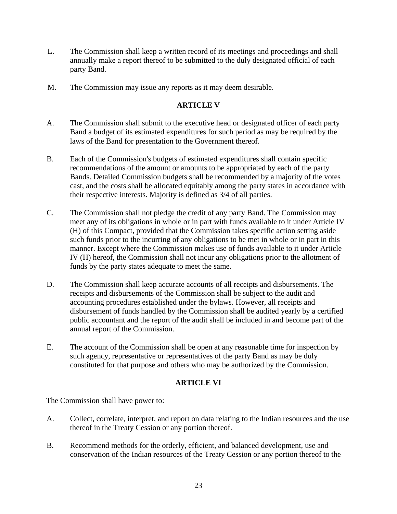- L. The Commission shall keep a written record of its meetings and proceedings and shall annually make a report thereof to be submitted to the duly designated official of each party Band.
- M. The Commission may issue any reports as it may deem desirable.

# **ARTICLE V**

- A. The Commission shall submit to the executive head or designated officer of each party Band a budget of its estimated expenditures for such period as may be required by the laws of the Band for presentation to the Government thereof.
- B. Each of the Commission's budgets of estimated expenditures shall contain specific recommendations of the amount or amounts to be appropriated by each of the party Bands. Detailed Commission budgets shall be recommended by a majority of the votes cast, and the costs shall be allocated equitably among the party states in accordance with their respective interests. Majority is defined as 3/4 of all parties.
- C. The Commission shall not pledge the credit of any party Band. The Commission may meet any of its obligations in whole or in part with funds available to it under Article IV (H) of this Compact, provided that the Commission takes specific action setting aside such funds prior to the incurring of any obligations to be met in whole or in part in this manner. Except where the Commission makes use of funds available to it under Article IV (H) hereof, the Commission shall not incur any obligations prior to the allotment of funds by the party states adequate to meet the same.
- D. The Commission shall keep accurate accounts of all receipts and disbursements. The receipts and disbursements of the Commission shall be subject to the audit and accounting procedures established under the bylaws. However, all receipts and disbursement of funds handled by the Commission shall be audited yearly by a certified public accountant and the report of the audit shall be included in and become part of the annual report of the Commission.
- E. The account of the Commission shall be open at any reasonable time for inspection by such agency, representative or representatives of the party Band as may be duly constituted for that purpose and others who may be authorized by the Commission.

# **ARTICLE VI**

The Commission shall have power to:

- A. Collect, correlate, interpret, and report on data relating to the Indian resources and the use thereof in the Treaty Cession or any portion thereof.
- B. Recommend methods for the orderly, efficient, and balanced development, use and conservation of the Indian resources of the Treaty Cession or any portion thereof to the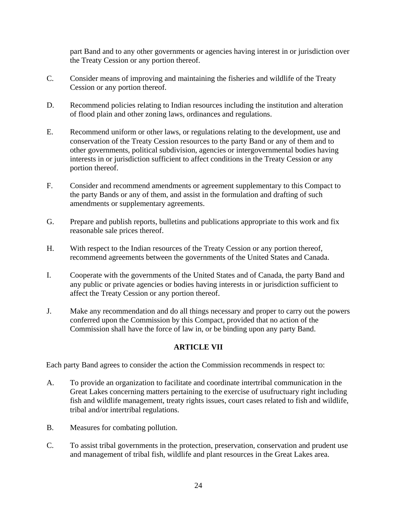part Band and to any other governments or agencies having interest in or jurisdiction over the Treaty Cession or any portion thereof.

- C. Consider means of improving and maintaining the fisheries and wildlife of the Treaty Cession or any portion thereof.
- D. Recommend policies relating to Indian resources including the institution and alteration of flood plain and other zoning laws, ordinances and regulations.
- E. Recommend uniform or other laws, or regulations relating to the development, use and conservation of the Treaty Cession resources to the party Band or any of them and to other governments, political subdivision, agencies or intergovernmental bodies having interests in or jurisdiction sufficient to affect conditions in the Treaty Cession or any portion thereof.
- F. Consider and recommend amendments or agreement supplementary to this Compact to the party Bands or any of them, and assist in the formulation and drafting of such amendments or supplementary agreements.
- G. Prepare and publish reports, bulletins and publications appropriate to this work and fix reasonable sale prices thereof.
- H. With respect to the Indian resources of the Treaty Cession or any portion thereof, recommend agreements between the governments of the United States and Canada.
- I. Cooperate with the governments of the United States and of Canada, the party Band and any public or private agencies or bodies having interests in or jurisdiction sufficient to affect the Treaty Cession or any portion thereof.
- J. Make any recommendation and do all things necessary and proper to carry out the powers conferred upon the Commission by this Compact, provided that no action of the Commission shall have the force of law in, or be binding upon any party Band.

# **ARTICLE VII**

Each party Band agrees to consider the action the Commission recommends in respect to:

- A. To provide an organization to facilitate and coordinate intertribal communication in the Great Lakes concerning matters pertaining to the exercise of usufructuary right including fish and wildlife management, treaty rights issues, court cases related to fish and wildlife, tribal and/or intertribal regulations.
- B. Measures for combating pollution.
- C. To assist tribal governments in the protection, preservation, conservation and prudent use and management of tribal fish, wildlife and plant resources in the Great Lakes area.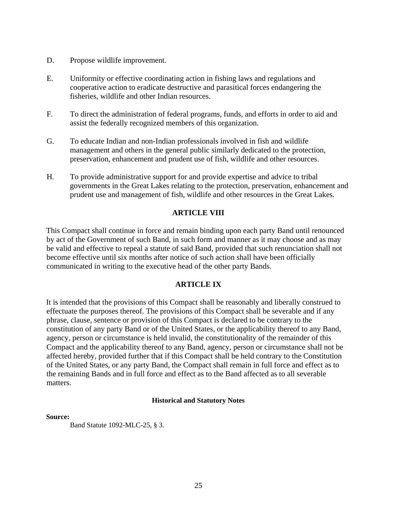- D. Propose wildlife improvement.
- E. Uniformity or effective coordinating action in fishing laws and regulations and cooperative action to eradicate destructive and parasitical forces endangering the fisheries, wildlife and other Indian resources.
- F. To direct the administration of federal programs, funds, and efforts in order to aid and assist the federally recognized members of this organization.
- G. To educate Indian and non-Indian professionals involved in fish and wildlife management and others in the general public similarly dedicated to the protection, preservation, enhancement and prudent use of fish, wildlife and other resources.
- H. To provide administrative support for and provide expertise and advice to tribal governments in the Great Lakes relating to the protection, preservation, enhancement and prudent use and management of fish, wildlife and other resources in the Great Lakes.

# **ARTICLE VIII**

This Compact shall continue in force and remain binding upon each party Band until renounced by act of the Government of such Band, in such form and manner as it may choose and as may be valid and effective to repeal a statute of said Band, provided that such renunciation shall not become effective until six months after notice of such action shall have been officially communicated in writing to the executive head of the other party Bands.

# **ARTICLE IX**

It is intended that the provisions of this Compact shall be reasonably and liberally construed to effectuate the purposes thereof. The provisions of this Compact shall be severable and if any phrase, clause, sentence or provision of this Compact is declared to be contrary to the constitution of any party Band or of the United States, or the applicability thereof to any Band, agency, person or circumstance is held invalid, the constitutionality of the remainder of this Compact and the applicability thereof to any Band, agency, person or circumstance shall not be affected hereby, provided further that if this Compact shall be held contrary to the Constitution of the United States, or any party Band, the Compact shall remain in full force and effect as to the remaining Bands and in full force and effect as to the Band affected as to all severable matters.

### **Historical and Statutory Notes**

### **Source:**

Band Statute 1092-MLC-25, § 3.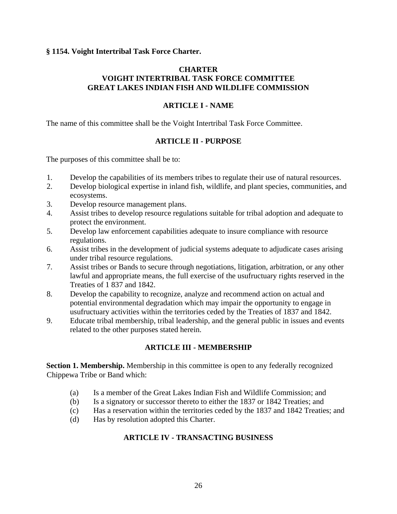# **§ 1154. Voight Intertribal Task Force Charter.**

# **CHARTER VOIGHT INTERTRIBAL TASK FORCE COMMITTEE GREAT LAKES INDIAN FISH AND WILDLIFE COMMISSION**

### **ARTICLE I - NAME**

The name of this committee shall be the Voight Intertribal Task Force Committee.

# **ARTICLE II - PURPOSE**

The purposes of this committee shall be to:

- 1. Develop the capabilities of its members tribes to regulate their use of natural resources.
- 2. Develop biological expertise in inland fish, wildlife, and plant species, communities, and ecosystems.
- 3. Develop resource management plans.
- 4. Assist tribes to develop resource regulations suitable for tribal adoption and adequate to protect the environment.
- 5. Develop law enforcement capabilities adequate to insure compliance with resource regulations.
- 6. Assist tribes in the development of judicial systems adequate to adjudicate cases arising under tribal resource regulations.
- 7. Assist tribes or Bands to secure through negotiations, litigation, arbitration, or any other lawful and appropriate means, the full exercise of the usufructuary rights reserved in the Treaties of 1 837 and 1842.
- 8. Develop the capability to recognize, analyze and recommend action on actual and potential environmental degradation which may impair the opportunity to engage in usufructuary activities within the territories ceded by the Treaties of 1837 and 1842.
- 9. Educate tribal membership, tribal leadership, and the general public in issues and events related to the other purposes stated herein.

# **ARTICLE III - MEMBERSHIP**

**Section 1. Membership.** Membership in this committee is open to any federally recognized Chippewa Tribe or Band which:

- (a) Is a member of the Great Lakes Indian Fish and Wildlife Commission; and
- (b) Is a signatory or successor thereto to either the 1837 or 1842 Treaties; and
- (c) Has a reservation within the territories ceded by the 1837 and 1842 Treaties; and
- (d) Has by resolution adopted this Charter.

# **ARTICLE IV - TRANSACTING BUSINESS**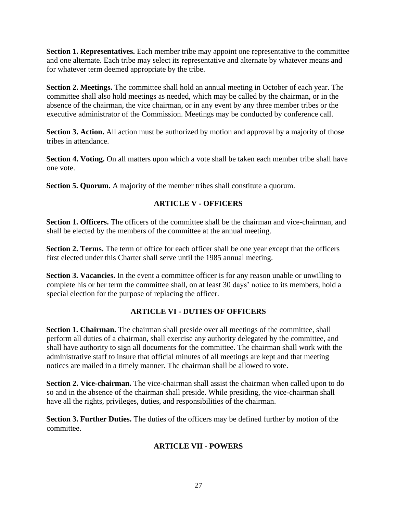**Section 1. Representatives.** Each member tribe may appoint one representative to the committee and one alternate. Each tribe may select its representative and alternate by whatever means and for whatever term deemed appropriate by the tribe.

**Section 2. Meetings.** The committee shall hold an annual meeting in October of each year. The committee shall also hold meetings as needed, which may be called by the chairman, or in the absence of the chairman, the vice chairman, or in any event by any three member tribes or the executive administrator of the Commission. Meetings may be conducted by conference call.

**Section 3. Action.** All action must be authorized by motion and approval by a majority of those tribes in attendance.

**Section 4. Voting.** On all matters upon which a vote shall be taken each member tribe shall have one vote.

**Section 5. Quorum.** A majority of the member tribes shall constitute a quorum.

# **ARTICLE V - OFFICERS**

**Section 1. Officers.** The officers of the committee shall be the chairman and vice-chairman, and shall be elected by the members of the committee at the annual meeting.

**Section 2. Terms.** The term of office for each officer shall be one year except that the officers first elected under this Charter shall serve until the 1985 annual meeting.

**Section 3. Vacancies.** In the event a committee officer is for any reason unable or unwilling to complete his or her term the committee shall, on at least 30 days' notice to its members, hold a special election for the purpose of replacing the officer.

# **ARTICLE VI - DUTIES OF OFFICERS**

**Section 1. Chairman.** The chairman shall preside over all meetings of the committee, shall perform all duties of a chairman, shall exercise any authority delegated by the committee, and shall have authority to sign all documents for the committee. The chairman shall work with the administrative staff to insure that official minutes of all meetings are kept and that meeting notices are mailed in a timely manner. The chairman shall be allowed to vote.

**Section 2. Vice-chairman.** The vice-chairman shall assist the chairman when called upon to do so and in the absence of the chairman shall preside. While presiding, the vice-chairman shall have all the rights, privileges, duties, and responsibilities of the chairman.

**Section 3. Further Duties.** The duties of the officers may be defined further by motion of the committee.

# **ARTICLE VII - POWERS**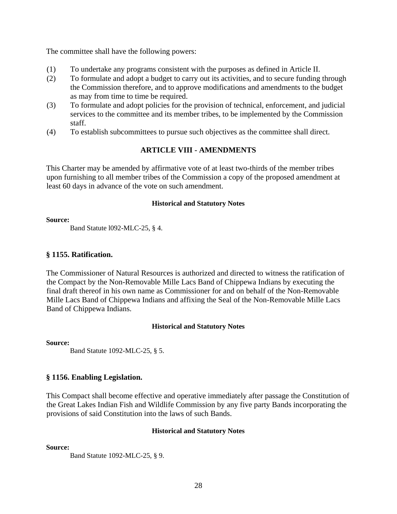The committee shall have the following powers:

- (1) To undertake any programs consistent with the purposes as defined in Article II.
- (2) To formulate and adopt a budget to carry out its activities, and to secure funding through the Commission therefore, and to approve modifications and amendments to the budget as may from time to time be required.
- (3) To formulate and adopt policies for the provision of technical, enforcement, and judicial services to the committee and its member tribes, to be implemented by the Commission staff.
- (4) To establish subcommittees to pursue such objectives as the committee shall direct.

# **ARTICLE VIII - AMENDMENTS**

This Charter may be amended by affirmative vote of at least two-thirds of the member tribes upon furnishing to all member tribes of the Commission a copy of the proposed amendment at least 60 days in advance of the vote on such amendment.

### **Historical and Statutory Notes**

**Source:**

Band Statute l092-MLC-25, § 4.

# **§ 1155. Ratification.**

The Commissioner of Natural Resources is authorized and directed to witness the ratification of the Compact by the Non-Removable Mille Lacs Band of Chippewa Indians by executing the final draft thereof in his own name as Commissioner for and on behalf of the Non-Removable Mille Lacs Band of Chippewa Indians and affixing the Seal of the Non-Removable Mille Lacs Band of Chippewa Indians.

# **Historical and Statutory Notes**

**Source:**

Band Statute 1092-MLC-25, § 5.

# **§ 1156. Enabling Legislation.**

This Compact shall become effective and operative immediately after passage the Constitution of the Great Lakes Indian Fish and Wildlife Commission by any five party Bands incorporating the provisions of said Constitution into the laws of such Bands.

### **Historical and Statutory Notes**

**Source:**

Band Statute 1092-MLC-25, § 9.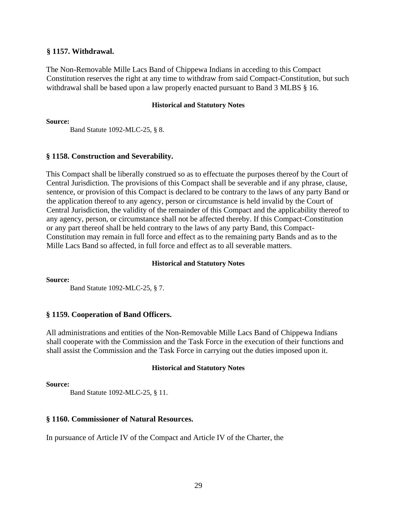### **§ 1157. Withdrawal.**

The Non-Removable Mille Lacs Band of Chippewa Indians in acceding to this Compact Constitution reserves the right at any time to withdraw from said Compact-Constitution, but such withdrawal shall be based upon a law properly enacted pursuant to Band 3 MLBS  $\S$  16.

### **Historical and Statutory Notes**

**Source:**

Band Statute 1092-MLC-25, § 8.

# **§ 1158. Construction and Severability.**

This Compact shall be liberally construed so as to effectuate the purposes thereof by the Court of Central Jurisdiction. The provisions of this Compact shall be severable and if any phrase, clause, sentence, or provision of this Compact is declared to be contrary to the laws of any party Band or the application thereof to any agency, person or circumstance is held invalid by the Court of Central Jurisdiction, the validity of the remainder of this Compact and the applicability thereof to any agency, person, or circumstance shall not be affected thereby. If this Compact-Constitution or any part thereof shall be held contrary to the laws of any party Band, this Compact-Constitution may remain in full force and effect as to the remaining party Bands and as to the Mille Lacs Band so affected, in full force and effect as to all severable matters.

# **Historical and Statutory Notes**

**Source:**

Band Statute 1092-MLC-25, § 7.

# **§ 1159. Cooperation of Band Officers.**

All administrations and entities of the Non-Removable Mille Lacs Band of Chippewa Indians shall cooperate with the Commission and the Task Force in the execution of their functions and shall assist the Commission and the Task Force in carrying out the duties imposed upon it.

# **Historical and Statutory Notes**

### **Source:**

Band Statute 1092-MLC-25, § 11.

# **§ 1160. Commissioner of Natural Resources.**

In pursuance of Article IV of the Compact and Article IV of the Charter, the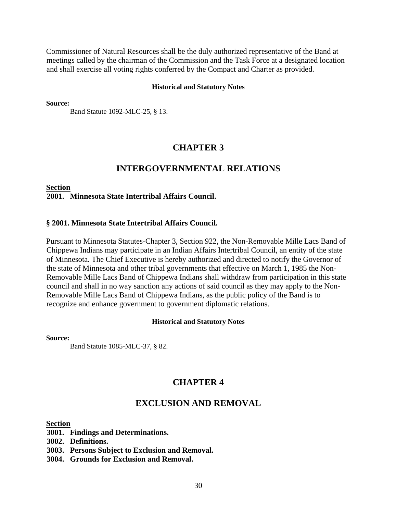Commissioner of Natural Resources shall be the duly authorized representative of the Band at meetings called by the chairman of the Commission and the Task Force at a designated location and shall exercise all voting rights conferred by the Compact and Charter as provided.

### **Historical and Statutory Notes**

**Source:**

Band Statute 1092-MLC-25, § 13.

# **CHAPTER 3**

# **INTERGOVERNMENTAL RELATIONS**

### **Section 2001. Minnesota State Intertribal Affairs Council.**

### **§ 2001. Minnesota State Intertribal Affairs Council.**

Pursuant to Minnesota Statutes-Chapter 3, Section 922, the Non-Removable Mille Lacs Band of Chippewa Indians may participate in an Indian Affairs Intertribal Council, an entity of the state of Minnesota. The Chief Executive is hereby authorized and directed to notify the Governor of the state of Minnesota and other tribal governments that effective on March 1, 1985 the Non-Removable Mille Lacs Band of Chippewa Indians shall withdraw from participation in this state council and shall in no way sanction any actions of said council as they may apply to the Non-Removable Mille Lacs Band of Chippewa Indians, as the public policy of the Band is to recognize and enhance government to government diplomatic relations.

### **Historical and Statutory Notes**

#### **Source:**

Band Statute 1085-MLC-37, § 82.

# **CHAPTER 4**

# **EXCLUSION AND REMOVAL**

#### **Section**

- **3001. Findings and Determinations.**
- **3002. Definitions.**
- **3003. Persons Subject to Exclusion and Removal.**
- **3004. Grounds for Exclusion and Removal.**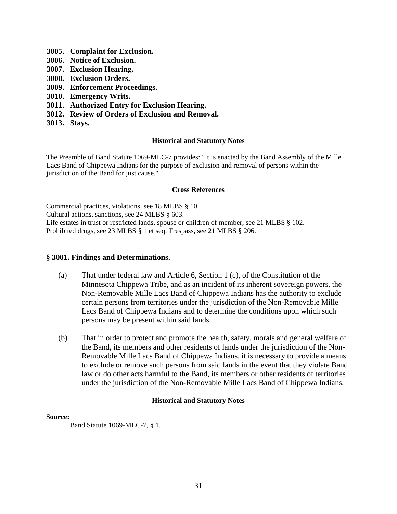- **3005. Complaint for Exclusion.**
- **3006. Notice of Exclusion.**
- **3007. Exclusion Hearing.**
- **3008. Exclusion Orders.**
- **3009. Enforcement Proceedings.**
- **3010. Emergency Writs.**
- **3011. Authorized Entry for Exclusion Hearing.**
- **3012. Review of Orders of Exclusion and Removal.**
- **3013. Stays.**

### **Historical and Statutory Notes**

The Preamble of Band Statute 1069-MLC-7 provides: "It is enacted by the Band Assembly of the Mille Lacs Band of Chippewa Indians for the purpose of exclusion and removal of persons within the jurisdiction of the Band for just cause."

### **Cross References**

Commercial practices, violations, see 18 MLBS § 10.

Cultural actions, sanctions, see 24 MLBS § 603.

Life estates in trust or restricted lands, spouse or children of member, see 21 MLBS § 102. Prohibited drugs, see 23 MLBS § 1 et seq. Trespass, see 21 MLBS § 206.

### **§ 3001. Findings and Determinations.**

- (a) That under federal law and Article 6, Section 1 (c), of the Constitution of the Minnesota Chippewa Tribe, and as an incident of its inherent sovereign powers, the Non-Removable Mille Lacs Band of Chippewa Indians has the authority to exclude certain persons from territories under the jurisdiction of the Non-Removable Mille Lacs Band of Chippewa Indians and to determine the conditions upon which such persons may be present within said lands.
- (b) That in order to protect and promote the health, safety, morals and general welfare of the Band, its members and other residents of lands under the jurisdiction of the Non-Removable Mille Lacs Band of Chippewa Indians, it is necessary to provide a means to exclude or remove such persons from said lands in the event that they violate Band law or do other acts harmful to the Band, its members or other residents of territories under the jurisdiction of the Non-Removable Mille Lacs Band of Chippewa Indians.

### **Historical and Statutory Notes**

#### **Source:**

Band Statute 1069-MLC-7, § 1.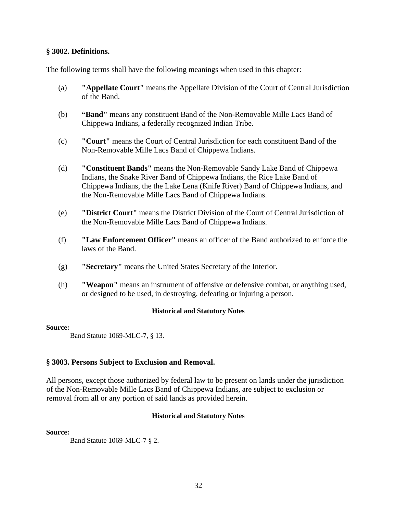# **§ 3002. Definitions.**

The following terms shall have the following meanings when used in this chapter:

- (a) **"Appellate Court"** means the Appellate Division of the Court of Central Jurisdiction of the Band.
- (b) **"Band"** means any constituent Band of the Non-Removable Mille Lacs Band of Chippewa Indians, a federally recognized Indian Tribe.
- (c) **"Court"** means the Court of Central Jurisdiction for each constituent Band of the Non-Removable Mille Lacs Band of Chippewa Indians.
- (d) **"Constituent Bands"** means the Non-Removable Sandy Lake Band of Chippewa Indians, the Snake River Band of Chippewa Indians, the Rice Lake Band of Chippewa Indians, the the Lake Lena (Knife River) Band of Chippewa Indians, and the Non-Removable Mille Lacs Band of Chippewa Indians.
- (e) **"District Court"** means the District Division of the Court of Central Jurisdiction of the Non-Removable Mille Lacs Band of Chippewa Indians.
- (f) **"Law Enforcement Officer"** means an officer of the Band authorized to enforce the laws of the Band.
- (g) **"Secretary"** means the United States Secretary of the Interior.
- (h) **"Weapon"** means an instrument of offensive or defensive combat, or anything used, or designed to be used, in destroying, defeating or injuring a person.

### **Historical and Statutory Notes**

### **Source:**

Band Statute 1069-MLC-7, § 13.

# **§ 3003. Persons Subject to Exclusion and Removal.**

All persons, except those authorized by federal law to be present on lands under the jurisdiction of the Non-Removable Mille Lacs Band of Chippewa Indians, are subject to exclusion or removal from all or any portion of said lands as provided herein.

### **Historical and Statutory Notes**

**Source:**

Band Statute 1069-MLC-7 § 2.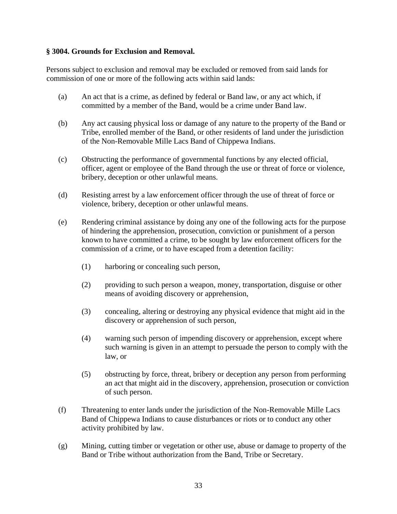# **§ 3004. Grounds for Exclusion and Removal.**

Persons subject to exclusion and removal may be excluded or removed from said lands for commission of one or more of the following acts within said lands:

- (a) An act that is a crime, as defined by federal or Band law, or any act which, if committed by a member of the Band, would be a crime under Band law.
- (b) Any act causing physical loss or damage of any nature to the property of the Band or Tribe, enrolled member of the Band, or other residents of land under the jurisdiction of the Non-Removable Mille Lacs Band of Chippewa Indians.
- (c) Obstructing the performance of governmental functions by any elected official, officer, agent or employee of the Band through the use or threat of force or violence, bribery, deception or other unlawful means.
- (d) Resisting arrest by a law enforcement officer through the use of threat of force or violence, bribery, deception or other unlawful means.
- (e) Rendering criminal assistance by doing any one of the following acts for the purpose of hindering the apprehension, prosecution, conviction or punishment of a person known to have committed a crime, to be sought by law enforcement officers for the commission of a crime, or to have escaped from a detention facility:
	- (1) harboring or concealing such person,
	- (2) providing to such person a weapon, money, transportation, disguise or other means of avoiding discovery or apprehension,
	- (3) concealing, altering or destroying any physical evidence that might aid in the discovery or apprehension of such person,
	- (4) warning such person of impending discovery or apprehension, except where such warning is given in an attempt to persuade the person to comply with the law, or
	- (5) obstructing by force, threat, bribery or deception any person from performing an act that might aid in the discovery, apprehension, prosecution or conviction of such person.
- (f) Threatening to enter lands under the jurisdiction of the Non-Removable Mille Lacs Band of Chippewa Indians to cause disturbances or riots or to conduct any other activity prohibited by law.
- (g) Mining, cutting timber or vegetation or other use, abuse or damage to property of the Band or Tribe without authorization from the Band, Tribe or Secretary.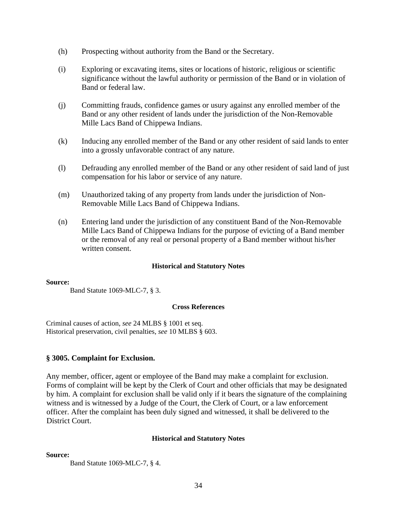- (h) Prospecting without authority from the Band or the Secretary.
- (i) Exploring or excavating items, sites or locations of historic, religious or scientific significance without the lawful authority or permission of the Band or in violation of Band or federal law.
- (j) Committing frauds, confidence games or usury against any enrolled member of the Band or any other resident of lands under the jurisdiction of the Non-Removable Mille Lacs Band of Chippewa Indians.
- (k) Inducing any enrolled member of the Band or any other resident of said lands to enter into a grossly unfavorable contract of any nature.
- (l) Defrauding any enrolled member of the Band or any other resident of said land of just compensation for his labor or service of any nature.
- (m) Unauthorized taking of any property from lands under the jurisdiction of Non-Removable Mille Lacs Band of Chippewa Indians.
- (n) Entering land under the jurisdiction of any constituent Band of the Non-Removable Mille Lacs Band of Chippewa Indians for the purpose of evicting of a Band member or the removal of any real or personal property of a Band member without his/her written consent.

# **Historical and Statutory Notes**

### **Source:**

Band Statute 1069-MLC-7, § 3.

### **Cross References**

Criminal causes of action, *see* 24 MLBS § 1001 et seq. Historical preservation, civil penalties, *see* 10 MLBS § 603.

# **§ 3005. Complaint for Exclusion.**

Any member, officer, agent or employee of the Band may make a complaint for exclusion. Forms of complaint will be kept by the Clerk of Court and other officials that may be designated by him. A complaint for exclusion shall be valid only if it bears the signature of the complaining witness and is witnessed by a Judge of the Court, the Clerk of Court, or a law enforcement officer. After the complaint has been duly signed and witnessed, it shall be delivered to the District Court.

### **Historical and Statutory Notes**

#### **Source:**

Band Statute 1069-MLC-7, § 4.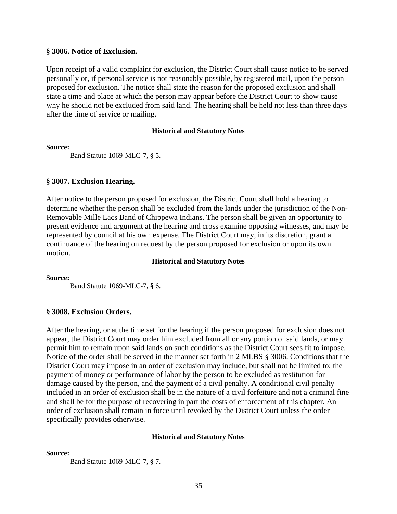### **§ 3006. Notice of Exclusion.**

Upon receipt of a valid complaint for exclusion, the District Court shall cause notice to be served personally or, if personal service is not reasonably possible, by registered mail, upon the person proposed for exclusion. The notice shall state the reason for the proposed exclusion and shall state a time and place at which the person may appear before the District Court to show cause why he should not be excluded from said land. The hearing shall be held not less than three days after the time of service or mailing.

### **Historical and Statutory Notes**

### **Source:**

Band Statute 1069-MLC-7, **§** 5.

# **§ 3007. Exclusion Hearing.**

After notice to the person proposed for exclusion, the District Court shall hold a hearing to determine whether the person shall be excluded from the lands under the jurisdiction of the Non-Removable Mille Lacs Band of Chippewa Indians. The person shall be given an opportunity to present evidence and argument at the hearing and cross examine opposing witnesses, and may be represented by council at his own expense. The District Court may, in its discretion, grant a continuance of the hearing on request by the person proposed for exclusion or upon its own motion.

### **Historical and Statutory Notes**

**Source:**

Band Statute 1069-MLC-7, **§** 6.

# **§ 3008. Exclusion Orders.**

After the hearing, or at the time set for the hearing if the person proposed for exclusion does not appear, the District Court may order him excluded from all or any portion of said lands, or may permit him to remain upon said lands on such conditions as the District Court sees fit to impose. Notice of the order shall be served in the manner set forth in 2 MLBS § 3006. Conditions that the District Court may impose in an order of exclusion may include, but shall not be limited to; the payment of money or performance of labor by the person to be excluded as restitution for damage caused by the person, and the payment of a civil penalty. A conditional civil penalty included in an order of exclusion shall be in the nature of a civil forfeiture and not a criminal fine and shall be for the purpose of recovering in part the costs of enforcement of this chapter. An order of exclusion shall remain in force until revoked by the District Court unless the order specifically provides otherwise.

### **Historical and Statutory Notes**

### **Source:**

Band Statute 1069-MLC-7, **§** 7.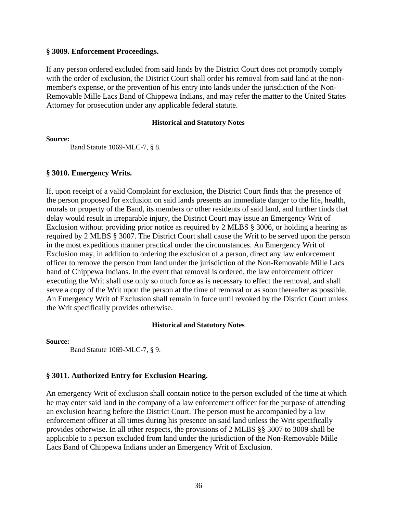### **§ 3009. Enforcement Proceedings.**

If any person ordered excluded from said lands by the District Court does not promptly comply with the order of exclusion, the District Court shall order his removal from said land at the nonmember's expense, or the prevention of his entry into lands under the jurisdiction of the Non-Removable Mille Lacs Band of Chippewa Indians, and may refer the matter to the United States Attorney for prosecution under any applicable federal statute.

### **Historical and Statutory Notes**

**Source:**

Band Statute 1069-MLC-7, § 8.

# **§ 3010. Emergency Writs.**

If, upon receipt of a valid Complaint for exclusion, the District Court finds that the presence of the person proposed for exclusion on said lands presents an immediate danger to the life, health, morals or property of the Band, its members or other residents of said land, and further finds that delay would result in irreparable injury, the District Court may issue an Emergency Writ of Exclusion without providing prior notice as required by 2 MLBS § 3006, or holding a hearing as required by 2 MLBS § 3007. The District Court shall cause the Writ to be served upon the person in the most expeditious manner practical under the circumstances. An Emergency Writ of Exclusion may, in addition to ordering the exclusion of a person, direct any law enforcement officer to remove the person from land under the jurisdiction of the Non-Removable Mille Lacs band of Chippewa Indians. In the event that removal is ordered, the law enforcement officer executing the Writ shall use only so much force as is necessary to effect the removal, and shall serve a copy of the Writ upon the person at the time of removal or as soon thereafter as possible. An Emergency Writ of Exclusion shall remain in force until revoked by the District Court unless the Writ specifically provides otherwise.

# **Historical and Statutory Notes**

**Source:**

Band Statute 1069-MLC-7, § 9.

# **§ 3011. Authorized Entry for Exclusion Hearing.**

An emergency Writ of exclusion shall contain notice to the person excluded of the time at which he may enter said land in the company of a law enforcement officer for the purpose of attending an exclusion hearing before the District Court. The person must be accompanied by a law enforcement officer at all times during his presence on said land unless the Writ specifically provides otherwise. In all other respects, the provisions of 2 MLBS §§ 3007 to 3009 shall be applicable to a person excluded from land under the jurisdiction of the Non-Removable Mille Lacs Band of Chippewa Indians under an Emergency Writ of Exclusion.